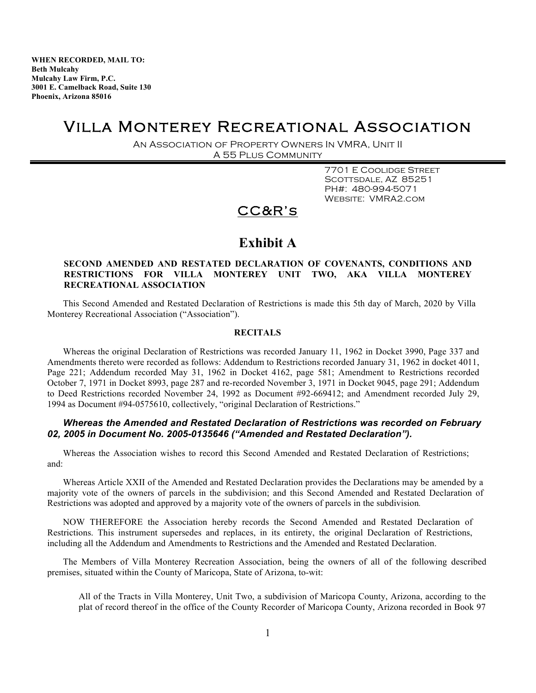**WHEN RECORDED, MAIL TO: Beth Mulcahy Mulcahy Law Firm, P.C. 3001 E. Camelback Road, Suite 130 Phoenix, Arizona 85016**

## Villa Monterey Recreational Association

An Association of Property Owners In VMRA, Unit II A 55 Plus Community

> 7701 E Coolidge Street SCOTTSDALE, AZ 85251 PH#: 480-994-5071 Website: VMRA2.com

### CC&R's

### **Exhibit A**

### **SECOND AMENDED AND RESTATED DECLARATION OF COVENANTS, CONDITIONS AND RESTRICTIONS FOR VILLA MONTEREY UNIT TWO, AKA VILLA MONTEREY RECREATIONAL ASSOCIATION**

This Second Amended and Restated Declaration of Restrictions is made this 5th day of March, 2020 by Villa Monterey Recreational Association ("Association").

### **RECITALS**

Whereas the original Declaration of Restrictions was recorded January 11, 1962 in Docket 3990, Page 337 and Amendments thereto were recorded as follows: Addendum to Restrictions recorded January 31, 1962 in docket 4011, Page 221; Addendum recorded May 31, 1962 in Docket 4162, page 581; Amendment to Restrictions recorded October 7, 1971 in Docket 8993, page 287 and re-recorded November 3, 1971 in Docket 9045, page 291; Addendum to Deed Restrictions recorded November 24, 1992 as Document #92-669412; and Amendment recorded July 29, 1994 as Document #94-0575610, collectively, "original Declaration of Restrictions."

### *Whereas the Amended and Restated Declaration of Restrictions was recorded on February 02, 2005 in Document No. 2005-0135646 ("Amended and Restated Declaration").*

Whereas the Association wishes to record this Second Amended and Restated Declaration of Restrictions; and:

Whereas Article XXII of the Amended and Restated Declaration provides the Declarations may be amended by a majority vote of the owners of parcels in the subdivision; and this Second Amended and Restated Declaration of Restrictions was adopted and approved by a majority vote of the owners of parcels in the subdivision*.*

NOW THEREFORE the Association hereby records the Second Amended and Restated Declaration of Restrictions. This instrument supersedes and replaces, in its entirety, the original Declaration of Restrictions, including all the Addendum and Amendments to Restrictions and the Amended and Restated Declaration.

The Members of Villa Monterey Recreation Association, being the owners of all of the following described premises, situated within the County of Maricopa, State of Arizona, to-wit:

All of the Tracts in Villa Monterey, Unit Two, a subdivision of Maricopa County, Arizona, according to the plat of record thereof in the office of the County Recorder of Maricopa County, Arizona recorded in Book 97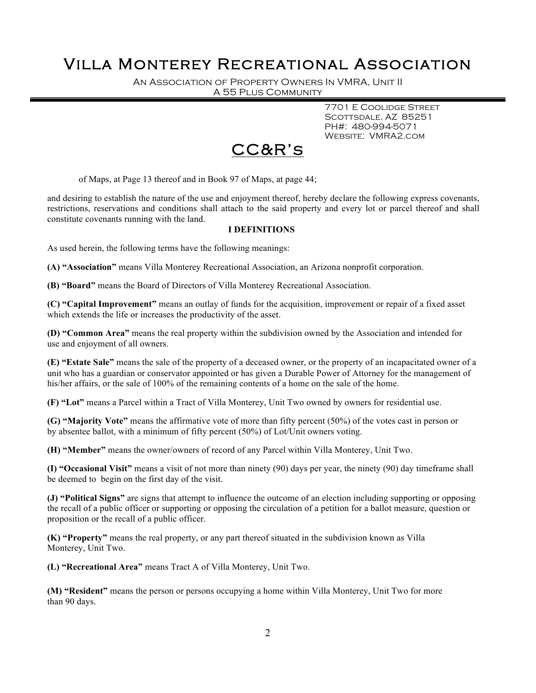An Association of Property Owners In VMRA, Unit II A 55 Plus Community

> 7701 E Coolidge Street SCOTTSDALE, AZ 85251 PH#: 480-994-5071 Website: VMRA2.com



of Maps, at Page 13 thereof and in Book 97 of Maps, at page 44;

and desiring to establish the nature of the use and enjoyment thereof, hereby declare the following express covenants, restrictions, reservations and conditions shall attach to the said property and every lot or parcel thereof and shall constitute covenants running with the land.

#### **I DEFINITIONS**

As used herein, the following terms have the following meanings:

**(A) "Association"** means Villa Monterey Recreational Association, an Arizona nonprofit corporation.

**(B) "Board"** means the Board of Directors of Villa Monterey Recreational Association.

**(C) "Capital Improvement"** means an outlay of funds for the acquisition, improvement or repair of a fixed asset which extends the life or increases the productivity of the asset.

**(D) "Common Area"** means the real property within the subdivision owned by the Association and intended for use and enjoyment of all owners.

**(E) "Estate Sale"** means the sale of the property of a deceased owner, or the property of an incapacitated owner of a unit who has a guardian or conservator appointed or has given a Durable Power of Attorney for the management of his/her affairs, or the sale of 100% of the remaining contents of a home on the sale of the home.

**(F) "Lot"** means a Parcel within a Tract of Villa Monterey, Unit Two owned by owners for residential use.

**(G) "Majority Vote"** means the affirmative vote of more than fifty percent (50%) of the votes cast in person or by absentee ballot, with a minimum of fifty percent (50%) of Lot/Unit owners voting.

**(H) "Member"** means the owner/owners of record of any Parcel within Villa Monterey, Unit Two.

**(I) "Occasional Visit"** means a visit of not more than ninety (90) days per year, the ninety (90) day timeframe shall be deemed to begin on the first day of the visit.

**(J) "Political Signs"** are signs that attempt to influence the outcome of an election including supporting or opposing the recall of a public officer or supporting or opposing the circulation of a petition for a ballot measure, question or proposition or the recall of a public officer.

**(K) "Property"** means the real property, or any part thereof situated in the subdivision known as Villa Monterey, Unit Two.

**(L) "Recreational Area"** means Tract A of Villa Monterey, Unit Two.

**(M) "Resident"** means the person or persons occupying a home within Villa Monterey, Unit Two for more than 90 days.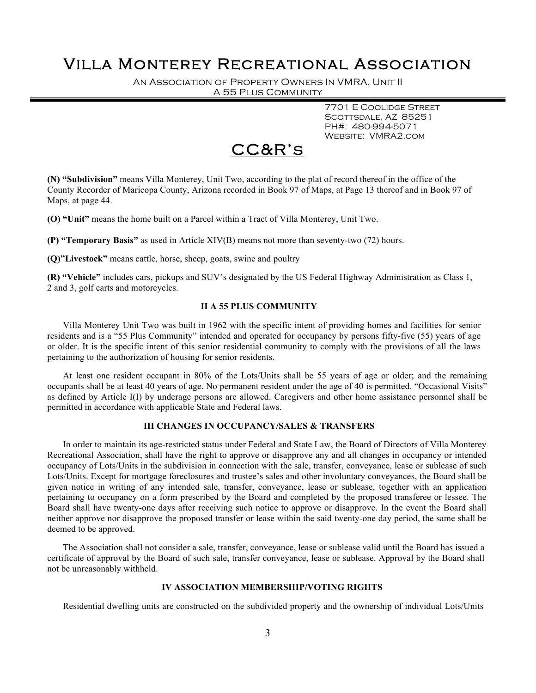An Association of Property Owners In VMRA, Unit II A 55 Plus Community

> 7701 E Coolidge Street SCOTTSDALE, AZ 85251 PH#: 480-994-5071 Website: VMRA2.com



**(N) "Subdivision"** means Villa Monterey, Unit Two, according to the plat of record thereof in the office of the County Recorder of Maricopa County, Arizona recorded in Book 97 of Maps, at Page 13 thereof and in Book 97 of Maps, at page 44.

**(O) "Unit"** means the home built on a Parcel within a Tract of Villa Monterey, Unit Two.

**(P) "Temporary Basis"** as used in Article XIV(B) means not more than seventy-two (72) hours.

**(Q)"Livestock"** means cattle, horse, sheep, goats, swine and poultry

**(R) "Vehicle"** includes cars, pickups and SUV's designated by the US Federal Highway Administration as Class 1, 2 and 3, golf carts and motorcycles.

### **II A 55 PLUS COMMUNITY**

Villa Monterey Unit Two was built in 1962 with the specific intent of providing homes and facilities for senior residents and is a "55 Plus Community" intended and operated for occupancy by persons fifty-five (55) years of age or older. It is the specific intent of this senior residential community to comply with the provisions of all the laws pertaining to the authorization of housing for senior residents.

At least one resident occupant in 80% of the Lots/Units shall be 55 years of age or older; and the remaining occupants shall be at least 40 years of age. No permanent resident under the age of 40 is permitted. "Occasional Visits" as defined by Article I(I) by underage persons are allowed. Caregivers and other home assistance personnel shall be permitted in accordance with applicable State and Federal laws.

### **III CHANGES IN OCCUPANCY/SALES & TRANSFERS**

In order to maintain its age-restricted status under Federal and State Law, the Board of Directors of Villa Monterey Recreational Association, shall have the right to approve or disapprove any and all changes in occupancy or intended occupancy of Lots/Units in the subdivision in connection with the sale, transfer, conveyance, lease or sublease of such Lots/Units. Except for mortgage foreclosures and trustee's sales and other involuntary conveyances, the Board shall be given notice in writing of any intended sale, transfer, conveyance, lease or sublease, together with an application pertaining to occupancy on a form prescribed by the Board and completed by the proposed transferee or lessee. The Board shall have twenty-one days after receiving such notice to approve or disapprove. In the event the Board shall neither approve nor disapprove the proposed transfer or lease within the said twenty-one day period, the same shall be deemed to be approved.

The Association shall not consider a sale, transfer, conveyance, lease or sublease valid until the Board has issued a certificate of approval by the Board of such sale, transfer conveyance, lease or sublease. Approval by the Board shall not be unreasonably withheld.

### **IV ASSOCIATION MEMBERSHIP/VOTING RIGHTS**

Residential dwelling units are constructed on the subdivided property and the ownership of individual Lots/Units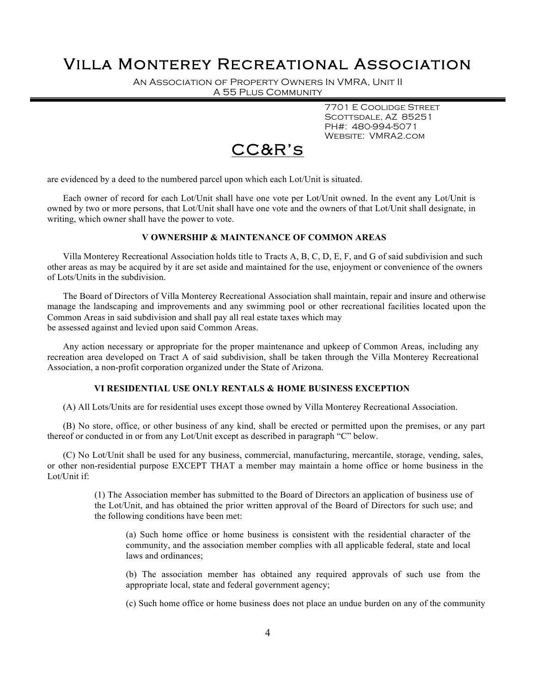An Association of Property Owners In VMRA, Unit II A 55 Plus Community

> 7701 E Coolidge Street SCOTTSDALE, AZ 85251 PH#: 480-994-5071 Website: VMRA2.com



are evidenced by a deed to the numbered parcel upon which each Lot/Unit is situated.

Each owner of record for each Lot/Unit shall have one vote per Lot/Unit owned. In the event any Lot/Unit is owned by two or more persons, that Lot/Unit shall have one vote and the owners of that Lot/Unit shall designate, in writing, which owner shall have the power to vote.

### **V OWNERSHIP & MAINTENANCE OF COMMON AREAS**

Villa Monterey Recreational Association holds title to Tracts A, B, C, D, E, F, and G of said subdivision and such other areas as may be acquired by it are set aside and maintained for the use, enjoyment or convenience of the owners of Lots/Units in the subdivision.

The Board of Directors of Villa Monterey Recreational Association shall maintain, repair and insure and otherwise manage the landscaping and improvements and any swimming pool or other recreational facilities located upon the Common Areas in said subdivision and shall pay all real estate taxes which may be assessed against and levied upon said Common Areas.

Any action necessary or appropriate for the proper maintenance and upkeep of Common Areas, including any recreation area developed on Tract A of said subdivision, shall be taken through the Villa Monterey Recreational Association, a non-profit corporation organized under the State of Arizona.

#### **VI RESIDENTIAL USE ONLY RENTALS & HOME BUSINESS EXCEPTION**

(A) All Lots/Units are for residential uses except those owned by Villa Monterey Recreational Association.

(B) No store, office, or other business of any kind, shall be erected or permitted upon the premises, or any part thereof or conducted in or from any Lot/Unit except as described in paragraph "C" below.

(C) No Lot/Unit shall be used for any business, commercial, manufacturing, mercantile, storage, vending, sales, or other non-residential purpose EXCEPT THAT a member may maintain a home office or home business in the Lot/Unit if:

> (1) The Association member has submitted to the Board of Directors an application of business use of the Lot/Unit, and has obtained the prior written approval of the Board of Directors for such use; and the following conditions have been met:

(a) Such home office or home business is consistent with the residential character of the community, and the association member complies with all applicable federal, state and local laws and ordinances;

(b) The association member has obtained any required approvals of such use from the appropriate local, state and federal government agency;

(c) Such home office or home business does not place an undue burden on any of the community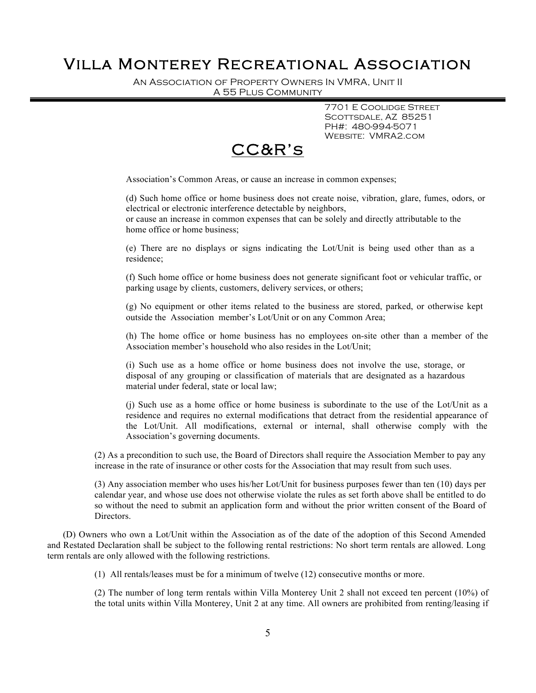An Association of Property Owners In VMRA, Unit II A 55 Plus Community

> 7701 E Coolidge Street SCOTTSDALE, AZ 85251 PH#: 480-994-5071 Website: VMRA2.com



Association's Common Areas, or cause an increase in common expenses;

(d) Such home office or home business does not create noise, vibration, glare, fumes, odors, or electrical or electronic interference detectable by neighbors,

or cause an increase in common expenses that can be solely and directly attributable to the home office or home business;

(e) There are no displays or signs indicating the Lot/Unit is being used other than as a residence;

(f) Such home office or home business does not generate significant foot or vehicular traffic, or parking usage by clients, customers, delivery services, or others;

(g) No equipment or other items related to the business are stored, parked, or otherwise kept outside the Association member's Lot/Unit or on any Common Area;

(h) The home office or home business has no employees on-site other than a member of the Association member's household who also resides in the Lot/Unit;

(i) Such use as a home office or home business does not involve the use, storage, or disposal of any grouping or classification of materials that are designated as a hazardous material under federal, state or local law;

(j) Such use as a home office or home business is subordinate to the use of the Lot/Unit as a residence and requires no external modifications that detract from the residential appearance of the Lot/Unit. All modifications, external or internal, shall otherwise comply with the Association's governing documents.

(2) As a precondition to such use, the Board of Directors shall require the Association Member to pay any increase in the rate of insurance or other costs for the Association that may result from such uses.

(3) Any association member who uses his/her Lot/Unit for business purposes fewer than ten (10) days per calendar year, and whose use does not otherwise violate the rules as set forth above shall be entitled to do so without the need to submit an application form and without the prior written consent of the Board of Directors.

(D) Owners who own a Lot/Unit within the Association as of the date of the adoption of this Second Amended and Restated Declaration shall be subject to the following rental restrictions: No short term rentals are allowed. Long term rentals are only allowed with the following restrictions.

(1) All rentals/leases must be for a minimum of twelve (12) consecutive months or more.

(2) The number of long term rentals within Villa Monterey Unit 2 shall not exceed ten percent (10%) of the total units within Villa Monterey, Unit 2 at any time. All owners are prohibited from renting/leasing if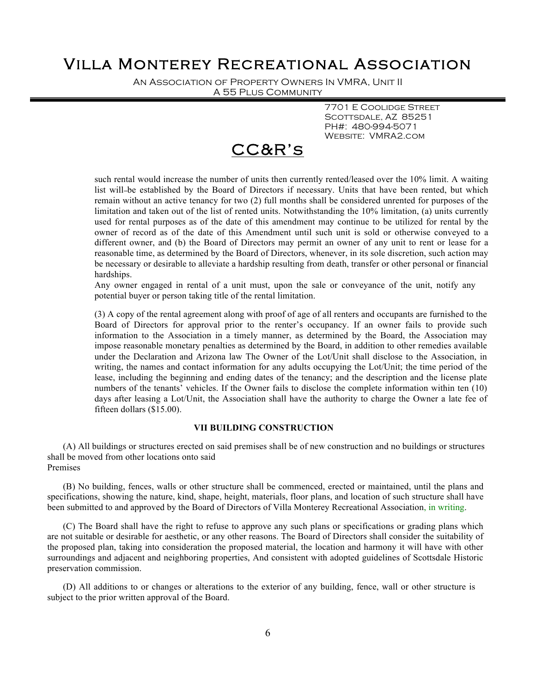An Association of Property Owners In VMRA, Unit II A 55 Plus Community

> 7701 E Coolidge Street SCOTTSDALE, AZ 85251 PH#: 480-994-5071 Website: VMRA2.com



such rental would increase the number of units then currently rented/leased over the 10% limit. A waiting list will be established by the Board of Directors if necessary. Units that have been rented, but which remain without an active tenancy for two (2) full months shall be considered unrented for purposes of the limitation and taken out of the list of rented units. Notwithstanding the 10% limitation, (a) units currently used for rental purposes as of the date of this amendment may continue to be utilized for rental by the owner of record as of the date of this Amendment until such unit is sold or otherwise conveyed to a different owner, and (b) the Board of Directors may permit an owner of any unit to rent or lease for a reasonable time, as determined by the Board of Directors, whenever, in its sole discretion, such action may be necessary or desirable to alleviate a hardship resulting from death, transfer or other personal or financial hardships.

Any owner engaged in rental of a unit must, upon the sale or conveyance of the unit, notify any potential buyer or person taking title of the rental limitation.

(3) A copy of the rental agreement along with proof of age of all renters and occupants are furnished to the Board of Directors for approval prior to the renter's occupancy. If an owner fails to provide such information to the Association in a timely manner, as determined by the Board, the Association may impose reasonable monetary penalties as determined by the Board, in addition to other remedies available under the Declaration and Arizona law The Owner of the Lot/Unit shall disclose to the Association, in writing, the names and contact information for any adults occupying the Lot/Unit; the time period of the lease, including the beginning and ending dates of the tenancy; and the description and the license plate numbers of the tenants' vehicles. If the Owner fails to disclose the complete information within ten (10) days after leasing a Lot/Unit, the Association shall have the authority to charge the Owner a late fee of fifteen dollars (\$15.00).

### **VII BUILDING CONSTRUCTION**

(A) All buildings or structures erected on said premises shall be of new construction and no buildings or structures shall be moved from other locations onto said Premises

(B) No building, fences, walls or other structure shall be commenced, erected or maintained, until the plans and specifications, showing the nature, kind, shape, height, materials, floor plans, and location of such structure shall have been submitted to and approved by the Board of Directors of Villa Monterey Recreational Association, in writing.

(C) The Board shall have the right to refuse to approve any such plans or specifications or grading plans which are not suitable or desirable for aesthetic, or any other reasons. The Board of Directors shall consider the suitability of the proposed plan, taking into consideration the proposed material, the location and harmony it will have with other surroundings and adjacent and neighboring properties, And consistent with adopted guidelines of Scottsdale Historic preservation commission.

(D) All additions to or changes or alterations to the exterior of any building, fence, wall or other structure is subject to the prior written approval of the Board.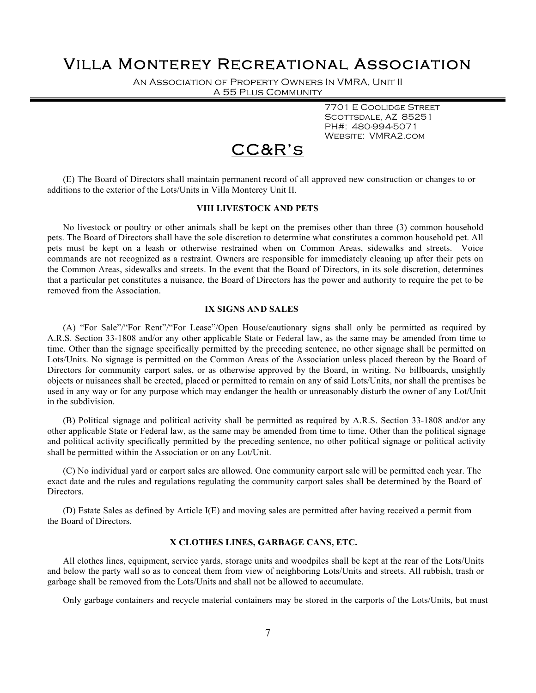An Association of Property Owners In VMRA, Unit II A 55 Plus Community

> 7701 E Coolidge Street SCOTTSDALE, AZ 85251 PH#: 480-994-5071 Website: VMRA2.com

## CC&R's

(E) The Board of Directors shall maintain permanent record of all approved new construction or changes to or additions to the exterior of the Lots/Units in Villa Monterey Unit II.

### **VIII LIVESTOCK AND PETS**

No livestock or poultry or other animals shall be kept on the premises other than three (3) common household pets. The Board of Directors shall have the sole discretion to determine what constitutes a common household pet. All pets must be kept on a leash or otherwise restrained when on Common Areas, sidewalks and streets. Voice commands are not recognized as a restraint. Owners are responsible for immediately cleaning up after their pets on the Common Areas, sidewalks and streets. In the event that the Board of Directors, in its sole discretion, determines that a particular pet constitutes a nuisance, the Board of Directors has the power and authority to require the pet to be removed from the Association.

### **IX SIGNS AND SALES**

(A) "For Sale"/"For Rent"/"For Lease"/Open House/cautionary signs shall only be permitted as required by A.R.S. Section 33-1808 and/or any other applicable State or Federal law, as the same may be amended from time to time. Other than the signage specifically permitted by the preceding sentence, no other signage shall be permitted on Lots/Units. No signage is permitted on the Common Areas of the Association unless placed thereon by the Board of Directors for community carport sales, or as otherwise approved by the Board, in writing. No billboards, unsightly objects or nuisances shall be erected, placed or permitted to remain on any of said Lots/Units, nor shall the premises be used in any way or for any purpose which may endanger the health or unreasonably disturb the owner of any Lot/Unit in the subdivision.

(B) Political signage and political activity shall be permitted as required by A.R.S. Section 33-1808 and/or any other applicable State or Federal law, as the same may be amended from time to time. Other than the political signage and political activity specifically permitted by the preceding sentence, no other political signage or political activity shall be permitted within the Association or on any Lot/Unit.

(C) No individual yard or carport sales are allowed. One community carport sale will be permitted each year. The exact date and the rules and regulations regulating the community carport sales shall be determined by the Board of Directors.

(D) Estate Sales as defined by Article I(E) and moving sales are permitted after having received a permit from the Board of Directors.

### **X CLOTHES LINES, GARBAGE CANS, ETC.**

All clothes lines, equipment, service yards, storage units and woodpiles shall be kept at the rear of the Lots/Units and below the party wall so as to conceal them from view of neighboring Lots/Units and streets. All rubbish, trash or garbage shall be removed from the Lots/Units and shall not be allowed to accumulate.

Only garbage containers and recycle material containers may be stored in the carports of the Lots/Units, but must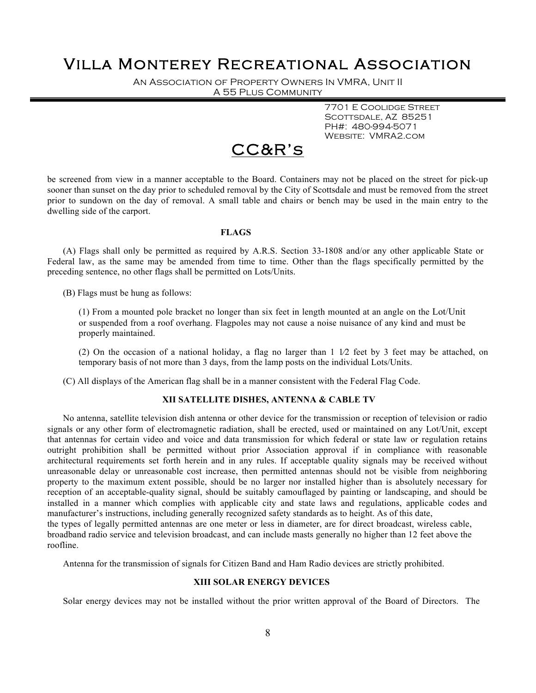An Association of Property Owners In VMRA, Unit II A 55 Plus Community

> 7701 E Coolidge Street SCOTTSDALE, AZ 85251 PH#: 480-994-5071 Website: VMRA2.com



be screened from view in a manner acceptable to the Board. Containers may not be placed on the street for pick-up sooner than sunset on the day prior to scheduled removal by the City of Scottsdale and must be removed from the street prior to sundown on the day of removal. A small table and chairs or bench may be used in the main entry to the dwelling side of the carport.

### **FLAGS**

(A) Flags shall only be permitted as required by A.R.S. Section 33-1808 and/or any other applicable State or Federal law, as the same may be amended from time to time. Other than the flags specifically permitted by the preceding sentence, no other flags shall be permitted on Lots/Units.

(B) Flags must be hung as follows:

(1) From a mounted pole bracket no longer than six feet in length mounted at an angle on the Lot/Unit or suspended from a roof overhang. Flagpoles may not cause a noise nuisance of any kind and must be properly maintained.

(2) On the occasion of a national holiday, a flag no larger than  $1\ 1/2$  feet by 3 feet may be attached, on temporary basis of not more than 3 days, from the lamp posts on the individual Lots/Units.

(C) All displays of the American flag shall be in a manner consistent with the Federal Flag Code.

### **XII SATELLITE DISHES, ANTENNA & CABLE TV**

No antenna, satellite television dish antenna or other device for the transmission or reception of television or radio signals or any other form of electromagnetic radiation, shall be erected, used or maintained on any Lot/Unit, except that antennas for certain video and voice and data transmission for which federal or state law or regulation retains outright prohibition shall be permitted without prior Association approval if in compliance with reasonable architectural requirements set forth herein and in any rules. If acceptable quality signals may be received without unreasonable delay or unreasonable cost increase, then permitted antennas should not be visible from neighboring property to the maximum extent possible, should be no larger nor installed higher than is absolutely necessary for reception of an acceptable-quality signal, should be suitably camouflaged by painting or landscaping, and should be installed in a manner which complies with applicable city and state laws and regulations, applicable codes and manufacturer's instructions, including generally recognized safety standards as to height. As of this date, the types of legally permitted antennas are one meter or less in diameter, are for direct broadcast, wireless cable, broadband radio service and television broadcast, and can include masts generally no higher than 12 feet above the roofline.

Antenna for the transmission of signals for Citizen Band and Ham Radio devices are strictly prohibited.

#### **XIII SOLAR ENERGY DEVICES**

Solar energy devices may not be installed without the prior written approval of the Board of Directors. The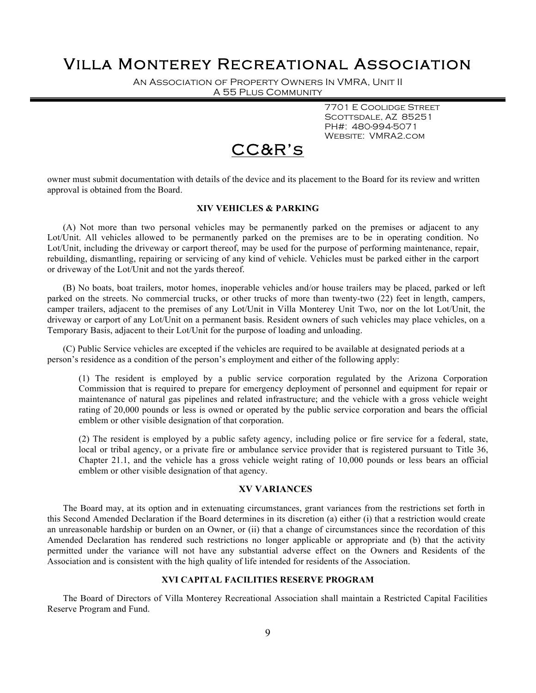An Association of Property Owners In VMRA, Unit II A 55 Plus Community

> 7701 E Coolidge Street SCOTTSDALE, AZ 85251 PH#: 480-994-5071 Website: VMRA2.com

## CC&R's

owner must submit documentation with details of the device and its placement to the Board for its review and written approval is obtained from the Board.

### **XIV VEHICLES & PARKING**

(A) Not more than two personal vehicles may be permanently parked on the premises or adjacent to any Lot/Unit. All vehicles allowed to be permanently parked on the premises are to be in operating condition. No Lot/Unit, including the driveway or carport thereof, may be used for the purpose of performing maintenance, repair, rebuilding, dismantling, repairing or servicing of any kind of vehicle. Vehicles must be parked either in the carport or driveway of the Lot/Unit and not the yards thereof.

(B) No boats, boat trailers, motor homes, inoperable vehicles and/or house trailers may be placed, parked or left parked on the streets. No commercial trucks, or other trucks of more than twenty-two (22) feet in length, campers, camper trailers, adjacent to the premises of any Lot/Unit in Villa Monterey Unit Two, nor on the lot Lot/Unit, the driveway or carport of any Lot/Unit on a permanent basis. Resident owners of such vehicles may place vehicles, on a Temporary Basis, adjacent to their Lot/Unit for the purpose of loading and unloading.

(C) Public Service vehicles are excepted if the vehicles are required to be available at designated periods at a person's residence as a condition of the person's employment and either of the following apply:

(1) The resident is employed by a public service corporation regulated by the Arizona Corporation Commission that is required to prepare for emergency deployment of personnel and equipment for repair or maintenance of natural gas pipelines and related infrastructure; and the vehicle with a gross vehicle weight rating of 20,000 pounds or less is owned or operated by the public service corporation and bears the official emblem or other visible designation of that corporation.

(2) The resident is employed by a public safety agency, including police or fire service for a federal, state, local or tribal agency, or a private fire or ambulance service provider that is registered pursuant to Title 36, Chapter 21.1, and the vehicle has a gross vehicle weight rating of 10,000 pounds or less bears an official emblem or other visible designation of that agency.

### **XV VARIANCES**

The Board may, at its option and in extenuating circumstances, grant variances from the restrictions set forth in this Second Amended Declaration if the Board determines in its discretion (a) either (i) that a restriction would create an unreasonable hardship or burden on an Owner, or (ii) that a change of circumstances since the recordation of this Amended Declaration has rendered such restrictions no longer applicable or appropriate and (b) that the activity permitted under the variance will not have any substantial adverse effect on the Owners and Residents of the Association and is consistent with the high quality of life intended for residents of the Association.

### **XVI CAPITAL FACILITIES RESERVE PROGRAM**

The Board of Directors of Villa Monterey Recreational Association shall maintain a Restricted Capital Facilities Reserve Program and Fund.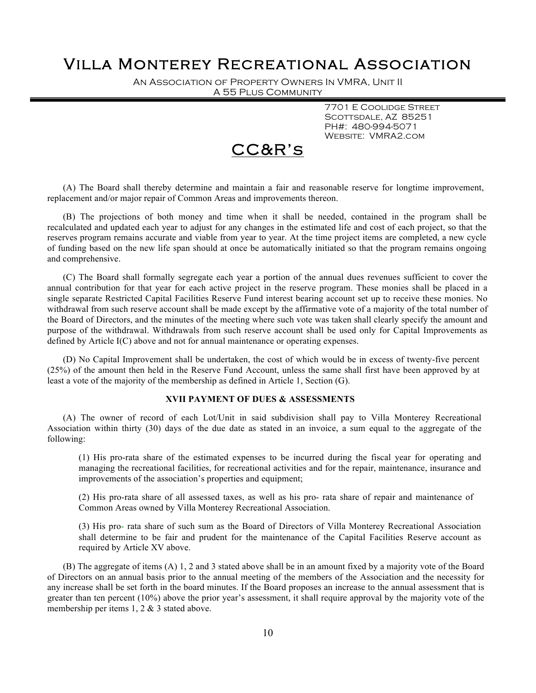An Association of Property Owners In VMRA, Unit II A 55 Plus Community

> 7701 E Coolidge Street SCOTTSDALE, AZ 85251 PH#: 480-994-5071 Website: VMRA2.com

## CC&R's

(A) The Board shall thereby determine and maintain a fair and reasonable reserve for longtime improvement, replacement and/or major repair of Common Areas and improvements thereon.

(B) The projections of both money and time when it shall be needed, contained in the program shall be recalculated and updated each year to adjust for any changes in the estimated life and cost of each project, so that the reserves program remains accurate and viable from year to year. At the time project items are completed, a new cycle of funding based on the new life span should at once be automatically initiated so that the program remains ongoing and comprehensive.

(C) The Board shall formally segregate each year a portion of the annual dues revenues sufficient to cover the annual contribution for that year for each active project in the reserve program. These monies shall be placed in a single separate Restricted Capital Facilities Reserve Fund interest bearing account set up to receive these monies. No withdrawal from such reserve account shall be made except by the affirmative vote of a majority of the total number of the Board of Directors, and the minutes of the meeting where such vote was taken shall clearly specify the amount and purpose of the withdrawal. Withdrawals from such reserve account shall be used only for Capital Improvements as defined by Article I(C) above and not for annual maintenance or operating expenses.

(D) No Capital Improvement shall be undertaken, the cost of which would be in excess of twenty-five percent (25%) of the amount then held in the Reserve Fund Account, unless the same shall first have been approved by at least a vote of the majority of the membership as defined in Article 1, Section (G).

### **XVII PAYMENT OF DUES & ASSESSMENTS**

(A) The owner of record of each Lot/Unit in said subdivision shall pay to Villa Monterey Recreational Association within thirty (30) days of the due date as stated in an invoice, a sum equal to the aggregate of the following:

(1) His pro-rata share of the estimated expenses to be incurred during the fiscal year for operating and managing the recreational facilities, for recreational activities and for the repair, maintenance, insurance and improvements of the association's properties and equipment;

(2) His pro-rata share of all assessed taxes, as well as his pro- rata share of repair and maintenance of Common Areas owned by Villa Monterey Recreational Association.

(3) His pro- rata share of such sum as the Board of Directors of Villa Monterey Recreational Association shall determine to be fair and prudent for the maintenance of the Capital Facilities Reserve account as required by Article XV above.

(B) The aggregate of items (A) 1, 2 and 3 stated above shall be in an amount fixed by a majority vote of the Board of Directors on an annual basis prior to the annual meeting of the members of the Association and the necessity for any increase shall be set forth in the board minutes. If the Board proposes an increase to the annual assessment that is greater than ten percent (10%) above the prior year's assessment, it shall require approval by the majority vote of the membership per items 1, 2 & 3 stated above.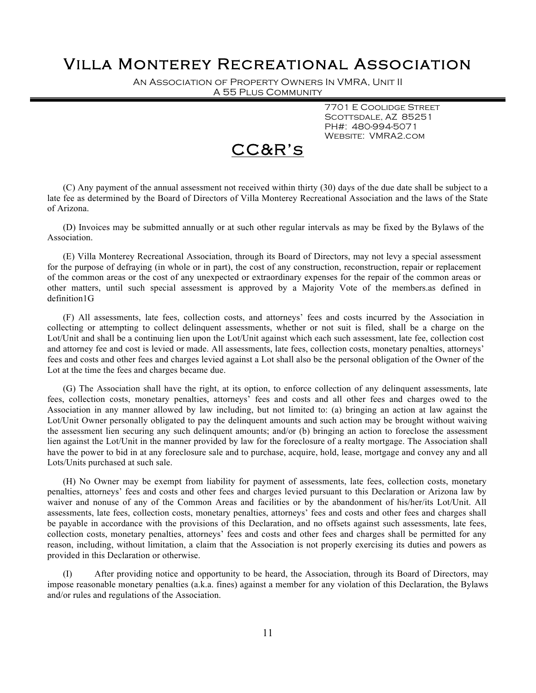An Association of Property Owners In VMRA, Unit II A 55 Plus Community

> 7701 E Coolidge Street SCOTTSDALE, AZ 85251 PH#: 480-994-5071 Website: VMRA2.com

## CC&R's

(C) Any payment of the annual assessment not received within thirty (30) days of the due date shall be subject to a late fee as determined by the Board of Directors of Villa Monterey Recreational Association and the laws of the State of Arizona.

(D) Invoices may be submitted annually or at such other regular intervals as may be fixed by the Bylaws of the Association.

(E) Villa Monterey Recreational Association, through its Board of Directors, may not levy a special assessment for the purpose of defraying (in whole or in part), the cost of any construction, reconstruction, repair or replacement of the common areas or the cost of any unexpected or extraordinary expenses for the repair of the common areas or other matters, until such special assessment is approved by a Majority Vote of the members.as defined in definition1G

(F) All assessments, late fees, collection costs, and attorneys' fees and costs incurred by the Association in collecting or attempting to collect delinquent assessments, whether or not suit is filed, shall be a charge on the Lot/Unit and shall be a continuing lien upon the Lot/Unit against which each such assessment, late fee, collection cost and attorney fee and cost is levied or made. All assessments, late fees, collection costs, monetary penalties, attorneys' fees and costs and other fees and charges levied against a Lot shall also be the personal obligation of the Owner of the Lot at the time the fees and charges became due.

(G) The Association shall have the right, at its option, to enforce collection of any delinquent assessments, late fees, collection costs, monetary penalties, attorneys' fees and costs and all other fees and charges owed to the Association in any manner allowed by law including, but not limited to: (a) bringing an action at law against the Lot/Unit Owner personally obligated to pay the delinquent amounts and such action may be brought without waiving the assessment lien securing any such delinquent amounts; and/or (b) bringing an action to foreclose the assessment lien against the Lot/Unit in the manner provided by law for the foreclosure of a realty mortgage. The Association shall have the power to bid in at any foreclosure sale and to purchase, acquire, hold, lease, mortgage and convey any and all Lots/Units purchased at such sale.

(H) No Owner may be exempt from liability for payment of assessments, late fees, collection costs, monetary penalties, attorneys' fees and costs and other fees and charges levied pursuant to this Declaration or Arizona law by waiver and nonuse of any of the Common Areas and facilities or by the abandonment of his/her/its Lot/Unit. All assessments, late fees, collection costs, monetary penalties, attorneys' fees and costs and other fees and charges shall be payable in accordance with the provisions of this Declaration, and no offsets against such assessments, late fees, collection costs, monetary penalties, attorneys' fees and costs and other fees and charges shall be permitted for any reason, including, without limitation, a claim that the Association is not properly exercising its duties and powers as provided in this Declaration or otherwise.

(I) After providing notice and opportunity to be heard, the Association, through its Board of Directors, may impose reasonable monetary penalties (a.k.a. fines) against a member for any violation of this Declaration, the Bylaws and/or rules and regulations of the Association.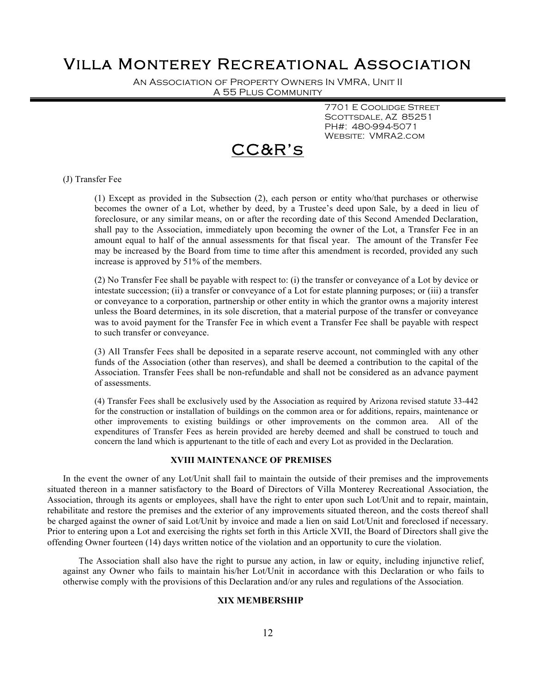An Association of Property Owners In VMRA, Unit II A 55 Plus Community

> 7701 E Coolidge Street SCOTTSDALE, AZ 85251 PH#: 480-994-5071 Website: VMRA2.com

# CC&R's

#### (J) Transfer Fee

(1) Except as provided in the Subsection (2), each person or entity who/that purchases or otherwise becomes the owner of a Lot, whether by deed, by a Trustee's deed upon Sale, by a deed in lieu of foreclosure, or any similar means, on or after the recording date of this Second Amended Declaration, shall pay to the Association, immediately upon becoming the owner of the Lot, a Transfer Fee in an amount equal to half of the annual assessments for that fiscal year. The amount of the Transfer Fee may be increased by the Board from time to time after this amendment is recorded, provided any such increase is approved by 51% of the members.

(2) No Transfer Fee shall be payable with respect to: (i) the transfer or conveyance of a Lot by device or intestate succession; (ii) a transfer or conveyance of a Lot for estate planning purposes; or (iii) a transfer or conveyance to a corporation, partnership or other entity in which the grantor owns a majority interest unless the Board determines, in its sole discretion, that a material purpose of the transfer or conveyance was to avoid payment for the Transfer Fee in which event a Transfer Fee shall be payable with respect to such transfer or conveyance.

(3) All Transfer Fees shall be deposited in a separate reserve account, not commingled with any other funds of the Association (other than reserves), and shall be deemed a contribution to the capital of the Association. Transfer Fees shall be non-refundable and shall not be considered as an advance payment of assessments.

(4) Transfer Fees shall be exclusively used by the Association as required by Arizona revised statute 33-442 for the construction or installation of buildings on the common area or for additions, repairs, maintenance or other improvements to existing buildings or other improvements on the common area. All of the expenditures of Transfer Fees as herein provided are hereby deemed and shall be construed to touch and concern the land which is appurtenant to the title of each and every Lot as provided in the Declaration.

#### **XVIII MAINTENANCE OF PREMISES**

In the event the owner of any Lot/Unit shall fail to maintain the outside of their premises and the improvements situated thereon in a manner satisfactory to the Board of Directors of Villa Monterey Recreational Association, the Association, through its agents or employees, shall have the right to enter upon such Lot/Unit and to repair, maintain, rehabilitate and restore the premises and the exterior of any improvements situated thereon, and the costs thereof shall be charged against the owner of said Lot/Unit by invoice and made a lien on said Lot/Unit and foreclosed if necessary. Prior to entering upon a Lot and exercising the rights set forth in this Article XVII, the Board of Directors shall give the offending Owner fourteen (14) days written notice of the violation and an opportunity to cure the violation.

The Association shall also have the right to pursue any action, in law or equity, including injunctive relief, against any Owner who fails to maintain his/her Lot/Unit in accordance with this Declaration or who fails to otherwise comply with the provisions of this Declaration and/or any rules and regulations of the Association.

### **XIX MEMBERSHIP**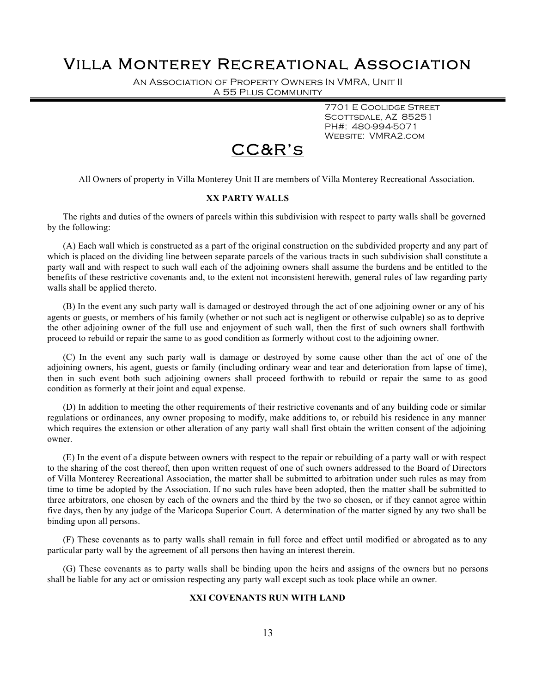An Association of Property Owners In VMRA, Unit II A 55 Plus Community

> 7701 E Coolidge Street SCOTTSDALE, AZ 85251 PH#: 480-994-5071 Website: VMRA2.com



All Owners of property in Villa Monterey Unit II are members of Villa Monterey Recreational Association.

### **XX PARTY WALLS**

The rights and duties of the owners of parcels within this subdivision with respect to party walls shall be governed by the following:

(A) Each wall which is constructed as a part of the original construction on the subdivided property and any part of which is placed on the dividing line between separate parcels of the various tracts in such subdivision shall constitute a party wall and with respect to such wall each of the adjoining owners shall assume the burdens and be entitled to the benefits of these restrictive covenants and, to the extent not inconsistent herewith, general rules of law regarding party walls shall be applied thereto.

(B) In the event any such party wall is damaged or destroyed through the act of one adjoining owner or any of his agents or guests, or members of his family (whether or not such act is negligent or otherwise culpable) so as to deprive the other adjoining owner of the full use and enjoyment of such wall, then the first of such owners shall forthwith proceed to rebuild or repair the same to as good condition as formerly without cost to the adjoining owner.

(C) In the event any such party wall is damage or destroyed by some cause other than the act of one of the adjoining owners, his agent, guests or family (including ordinary wear and tear and deterioration from lapse of time), then in such event both such adjoining owners shall proceed forthwith to rebuild or repair the same to as good condition as formerly at their joint and equal expense.

(D) In addition to meeting the other requirements of their restrictive covenants and of any building code or similar regulations or ordinances, any owner proposing to modify, make additions to, or rebuild his residence in any manner which requires the extension or other alteration of any party wall shall first obtain the written consent of the adjoining owner.

(E) In the event of a dispute between owners with respect to the repair or rebuilding of a party wall or with respect to the sharing of the cost thereof, then upon written request of one of such owners addressed to the Board of Directors of Villa Monterey Recreational Association, the matter shall be submitted to arbitration under such rules as may from time to time be adopted by the Association. If no such rules have been adopted, then the matter shall be submitted to three arbitrators, one chosen by each of the owners and the third by the two so chosen, or if they cannot agree within five days, then by any judge of the Maricopa Superior Court. A determination of the matter signed by any two shall be binding upon all persons.

(F) These covenants as to party walls shall remain in full force and effect until modified or abrogated as to any particular party wall by the agreement of all persons then having an interest therein.

(G) These covenants as to party walls shall be binding upon the heirs and assigns of the owners but no persons shall be liable for any act or omission respecting any party wall except such as took place while an owner.

### **XXI COVENANTS RUN WITH LAND**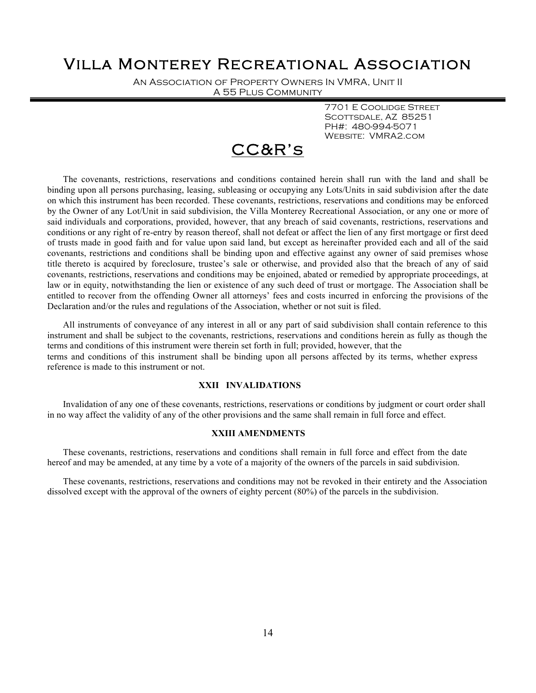An Association of Property Owners In VMRA, Unit II A 55 Plus Community

> 7701 E Coolidge Street SCOTTSDALE, AZ 85251 PH#: 480-994-5071 Website: VMRA2.com

# CC&R's

The covenants, restrictions, reservations and conditions contained herein shall run with the land and shall be binding upon all persons purchasing, leasing, subleasing or occupying any Lots/Units in said subdivision after the date on which this instrument has been recorded. These covenants, restrictions, reservations and conditions may be enforced by the Owner of any Lot/Unit in said subdivision, the Villa Monterey Recreational Association, or any one or more of said individuals and corporations, provided, however, that any breach of said covenants, restrictions, reservations and conditions or any right of re-entry by reason thereof, shall not defeat or affect the lien of any first mortgage or first deed of trusts made in good faith and for value upon said land, but except as hereinafter provided each and all of the said covenants, restrictions and conditions shall be binding upon and effective against any owner of said premises whose title thereto is acquired by foreclosure, trustee's sale or otherwise, and provided also that the breach of any of said covenants, restrictions, reservations and conditions may be enjoined, abated or remedied by appropriate proceedings, at law or in equity, notwithstanding the lien or existence of any such deed of trust or mortgage. The Association shall be entitled to recover from the offending Owner all attorneys' fees and costs incurred in enforcing the provisions of the Declaration and/or the rules and regulations of the Association, whether or not suit is filed.

All instruments of conveyance of any interest in all or any part of said subdivision shall contain reference to this instrument and shall be subject to the covenants, restrictions, reservations and conditions herein as fully as though the terms and conditions of this instrument were therein set forth in full; provided, however, that the terms and conditions of this instrument shall be binding upon all persons affected by its terms, whether express reference is made to this instrument or not.

### **XXII INVALIDATIONS**

Invalidation of any one of these covenants, restrictions, reservations or conditions by judgment or court order shall in no way affect the validity of any of the other provisions and the same shall remain in full force and effect.

### **XXIII AMENDMENTS**

These covenants, restrictions, reservations and conditions shall remain in full force and effect from the date hereof and may be amended, at any time by a vote of a majority of the owners of the parcels in said subdivision.

These covenants, restrictions, reservations and conditions may not be revoked in their entirety and the Association dissolved except with the approval of the owners of eighty percent (80%) of the parcels in the subdivision.